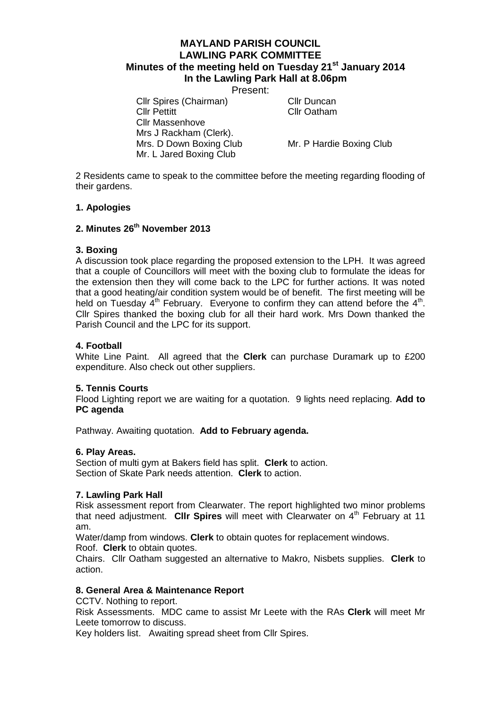## **MAYLAND PARISH COUNCIL LAWLING PARK COMMITTEE Minutes of the meeting held on Tuesday 21st January 2014 In the Lawling Park Hall at 8.06pm**

Present:

Cllr Spires (Chairman) Cllr Duncan Cllr Pettitt Cllr Oatham Cllr Massenhove Mrs J Rackham (Clerk). Mrs. D Down Boxing Club Mr. P Hardie Boxing Club Mr. L Jared Boxing Club

2 Residents came to speak to the committee before the meeting regarding flooding of their gardens.

#### **1. Apologies**

## **2. Minutes 26th November 2013**

#### **3. Boxing**

A discussion took place regarding the proposed extension to the LPH. It was agreed that a couple of Councillors will meet with the boxing club to formulate the ideas for the extension then they will come back to the LPC for further actions. It was noted that a good heating/air condition system would be of benefit. The first meeting will be held on Tuesday  $4<sup>th</sup>$  February. Everyone to confirm they can attend before the  $4<sup>th</sup>$ . Cllr Spires thanked the boxing club for all their hard work. Mrs Down thanked the Parish Council and the LPC for its support.

### **4. Football**

White Line Paint. All agreed that the **Clerk** can purchase Duramark up to £200 expenditure. Also check out other suppliers.

#### **5. Tennis Courts**

Flood Lighting report we are waiting for a quotation. 9 lights need replacing. **Add to PC agenda**

Pathway. Awaiting quotation. **Add to February agenda.**

#### **6. Play Areas.**

Section of multi gym at Bakers field has split. **Clerk** to action. Section of Skate Park needs attention. **Clerk** to action.

#### **7. Lawling Park Hall**

Risk assessment report from Clearwater. The report highlighted two minor problems that need adjustment. Cllr Spires will meet with Clearwater on 4<sup>th</sup> February at 11 am.

Water/damp from windows. **Clerk** to obtain quotes for replacement windows.

Roof. **Clerk** to obtain quotes.

Chairs. Cllr Oatham suggested an alternative to Makro, Nisbets supplies. **Clerk** to action.

#### **8. General Area & Maintenance Report**

CCTV. Nothing to report.

Risk Assessments. MDC came to assist Mr Leete with the RAs **Clerk** will meet Mr Leete tomorrow to discuss.

Key holders list. Awaiting spread sheet from Cllr Spires.